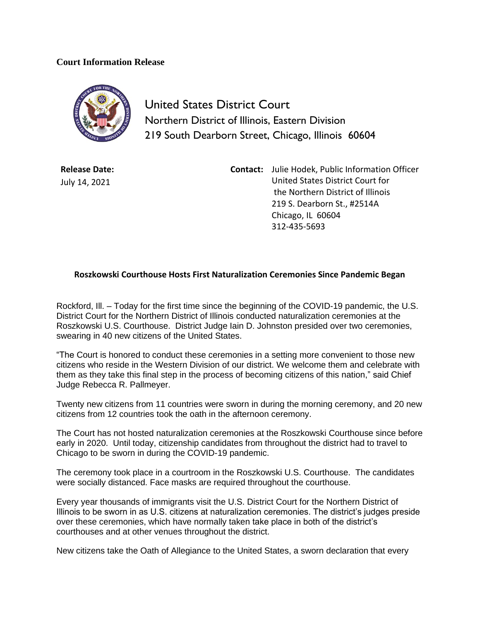## **Court Information Release**



United States District Court Northern District of Illinois, Eastern Division 219 South Dearborn Street, Chicago, Illinois 60604

**Release Date:** July 14, 2021

**Contact:** Julie Hodek, Public Information Officer United States District Court for the Northern District of Illinois 219 S. Dearborn St., #2514A Chicago, IL 60604 312-435-5693

## **Roszkowski Courthouse Hosts First Naturalization Ceremonies Since Pandemic Began**

Rockford, Ill. – Today for the first time since the beginning of the COVID-19 pandemic, the U.S. District Court for the Northern District of Illinois conducted naturalization ceremonies at the Roszkowski U.S. Courthouse. District Judge Iain D. Johnston presided over two ceremonies, swearing in 40 new citizens of the United States.

"The Court is honored to conduct these ceremonies in a setting more convenient to those new citizens who reside in the Western Division of our district. We welcome them and celebrate with them as they take this final step in the process of becoming citizens of this nation," said Chief Judge Rebecca R. Pallmeyer.

Twenty new citizens from 11 countries were sworn in during the morning ceremony, and 20 new citizens from 12 countries took the oath in the afternoon ceremony.

The Court has not hosted naturalization ceremonies at the Roszkowski Courthouse since before early in 2020. Until today, citizenship candidates from throughout the district had to travel to Chicago to be sworn in during the COVID-19 pandemic.

The ceremony took place in a courtroom in the Roszkowski U.S. Courthouse. The candidates were socially distanced. Face masks are required throughout the courthouse.

Every year thousands of immigrants visit the U.S. District Court for the Northern District of Illinois to be sworn in as U.S. citizens at naturalization ceremonies. The district's judges preside over these ceremonies, which have normally taken take place in both of the district's courthouses and at other venues throughout the district.

New citizens take the Oath of Allegiance to the United States, a sworn declaration that every